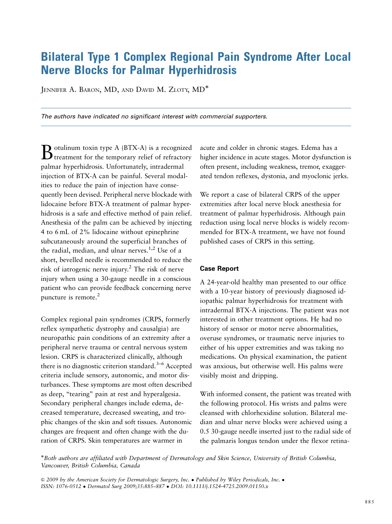## Bilateral Type 1 Complex Regional Pain Syndrome After Local Nerve Blocks for Palmar Hyperhidrosis

JENNIFER A. BARON, MD, AND DAVID M. ZLOTY, MD<sup>\*</sup>

*The authors have indicated no significant interest with commercial supporters.*

Botulinum toxin type A (BTX-A) is a recognized treatment for the temporary relief of refractory palmar hyperhidrosis. Unfortunately, intradermal injection of BTX-A can be painful. Several modalities to reduce the pain of injection have consequently been devised. Peripheral nerve blockade with lidocaine before BTX-A treatment of palmar hyperhidrosis is a safe and effective method of pain relief. Anesthesia of the palm can be achieved by injecting 4 to 6 mL of 2% lidocaine without epinephrine subcutaneously around the superficial branches of the radial, median, and ulnar nerves.<sup>1,2</sup> Use of a short, bevelled needle is recommended to reduce the risk of iatrogenic nerve injury.2 The risk of nerve injury when using a 30-gauge needle in a conscious patient who can provide feedback concerning nerve puncture is remote. $2$ 

Complex regional pain syndromes (CRPS, formerly reflex sympathetic dystrophy and causalgia) are neuropathic pain conditions of an extremity after a peripheral nerve trauma or central nervous system lesion. CRPS is characterized clinically, although there is no diagnostic criterion standard.<sup>3–6</sup> Accepted criteria include sensory, autonomic, and motor disturbances. These symptoms are most often described as deep, "tearing" pain at rest and hyperalgesia. Secondary peripheral changes include edema, decreased temperature, decreased sweating, and trophic changes of the skin and soft tissues. Autonomic changes are frequent and often change with the duration of CRPS. Skin temperatures are warmer in

acute and colder in chronic stages. Edema has a higher incidence in acute stages. Motor dysfunction is often present, including weakness, tremor, exaggerated tendon reflexes, dystonia, and myoclonic jerks.

We report a case of bilateral CRPS of the upper extremities after local nerve block anesthesia for treatment of palmar hyperhidrosis. Although pain reduction using local nerve blocks is widely recommended for BTX-A treatment, we have not found published cases of CRPS in this setting.

## **Case Report**

A 24-year-old healthy man presented to our office with a 10-year history of previously diagnosed idiopathic palmar hyperhidrosis for treatment with intradermal BTX-A injections. The patient was not interested in other treatment options. He had no history of sensor or motor nerve abnormalities, overuse syndromes, or traumatic nerve injuries to either of his upper extremities and was taking no medications. On physical examination, the patient was anxious, but otherwise well. His palms were visibly moist and dripping.

With informed consent, the patient was treated with the following protocol. His wrists and palms were cleansed with chlorhexidine solution. Bilateral median and ulnar nerve blocks were achieved using a 0.5 30-gauge needle inserted just to the radial side of the palmaris longus tendon under the flexor retina-

-Both authors are affiliated with Department of Dermatology and Skin Science, University of British Columbia, Vancouver, British Columbia, Canada

© 2009 by the American Society for Dermatologic Surgery, Inc. • Published by Wiley Periodicals, Inc. • ISSN: 1076-0512 - Dermatol Surg 2009;35:885–887 - DOI: 10.1111/j.1524-4725.2009.01150.x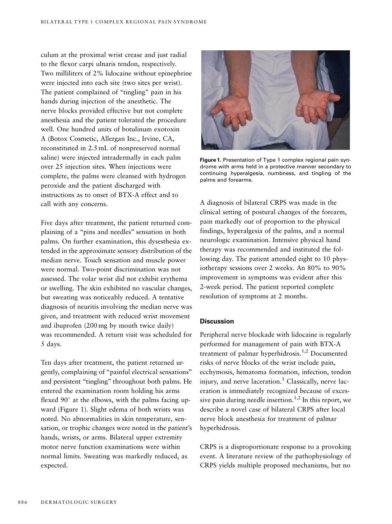culum at the proximal wrist crease and just radial to the flexor carpi ulnaris tendon, respectively. Two milliliters of 2% lidocaine without epinephrine were injected into each site (two sites per wrist). The patient complained of "tingling" pain in his hands during injection of the anesthetic. The nerve blocks provided effective but not complete anesthesia and the patient tolerated the procedure well. One hundred units of botulinum exotoxin A (Botox Cosmetic, Allergan Inc., Irvine, CA, reconstituted in 2.5 mL of nonpreserved normal saline) were injected intradermally in each palm over 25 injection sites. When injections were complete, the palms were cleansed with hydrogen peroxide and the patient discharged with instructions as to onset of BTX-A effect and to call with any concerns.

Five days after treatment, the patient returned complaining of a ''pins and needles'' sensation in both palms. On further examination, this dysesthesia extended in the approximate sensory distribution of the median nerve. Touch sensation and muscle power were normal. Two-point discrimination was not assessed. The volar wrist did not exhibit erythema or swelling. The skin exhibited no vascular changes, but sweating was noticeably reduced. A tentative diagnosis of neuritis involving the median nerve was given, and treatment with reduced wrist movement and ibuprofen (200 mg by mouth twice daily) was recommended. A return visit was scheduled for 5 days.

Ten days after treatment, the patient returned urgently, complaining of ''painful electrical sensations'' and persistent ''tingling'' throughout both palms. He entered the examination room holding his arms flexed  $90^\circ$  at the elbows, with the palms facing upward (Figure 1). Slight edema of both wrists was noted. No abnormalities in skin temperature, sensation, or trophic changes were noted in the patient's hands, wrists, or arms. Bilateral upper extremity motor nerve function examinations were within normal limits. Sweating was markedly reduced, as expected.



**Figure 1.** Presentation of Type 1 complex regional pain syndrome with arms held in a protective manner secondary to continuing hyperalgesia, numbness, and tingling of the palms and forearms.

A diagnosis of bilateral CRPS was made in the clinical setting of postural changes of the forearm, pain markedly out of proportion to the physical findings, hyperalgesia of the palms, and a normal neurologic examination. Intensive physical hand therapy was recommended and instituted the following day. The patient attended eight to 10 physiotherapy sessions over 2 weeks. An 80% to 90% improvement in symptoms was evident after this 2-week period. The patient reported complete resolution of symptoms at 2 months.

## **Discussion**

Peripheral nerve blockade with lidocaine is regularly performed for management of pain with BTX-A treatment of palmar hyperhidrosis.<sup>1,2</sup> Documented risks of nerve blocks of the wrist include pain, ecchymosis, hematoma formation, infection, tendon injury, and nerve laceration.<sup>1</sup> Classically, nerve laceration is immediately recognized because of excessive pain during needle insertion.<sup>1,2</sup> In this report, we describe a novel case of bilateral CRPS after local nerve block anesthesia for treatment of palmar hyperhidrosis.

CRPS is a disproportionate response to a provoking event. A literature review of the pathophysiology of CRPS yields multiple proposed mechanisms, but no